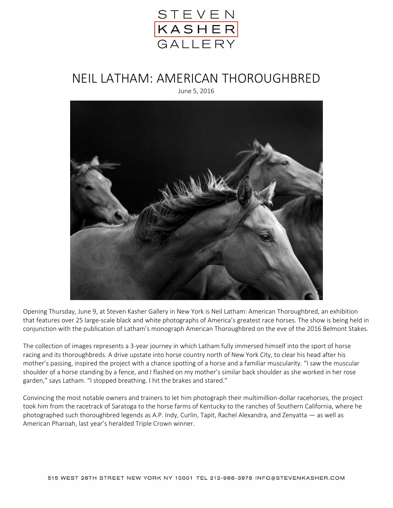

## NEIL LATHAM: AMERICAN THOROUGHBRED June 5, 2016



Opening Thursday, June 9, at Steven Kasher Gallery in New York is Neil Latham: American Thoroughbred, an exhibition that features over 25 large-scale black and white photographs of America's greatest race horses. The show is being held in conjunction with the publication of Latham's monograph American Thoroughbred on the eve of the 2016 Belmont Stakes.

The collection of images represents a 3-year journey in which Latham fully immersed himself into the sport of horse racing and its thoroughbreds. A drive upstate into horse country north of New York City, to clear his head after his mother's passing, inspired the project with a chance spotting of a horse and a familiar muscularity. "I saw the muscular shoulder of a horse standing by a fence, and I flashed on my mother's similar back shoulder as she worked in her rose garden," says Latham. "I stopped breathing. I hit the brakes and stared."

Convincing the most notable owners and trainers to let him photograph their multimillion-dollar racehorses, the project took him from the racetrack of Saratoga to the horse farms of Kentucky to the ranches of Southern California, where he photographed such thoroughbred legends as A.P. Indy, Curlin, Tapit, Rachel Alexandra, and Zenyatta — as well as American Pharoah, last year's heralded Triple Crown winner.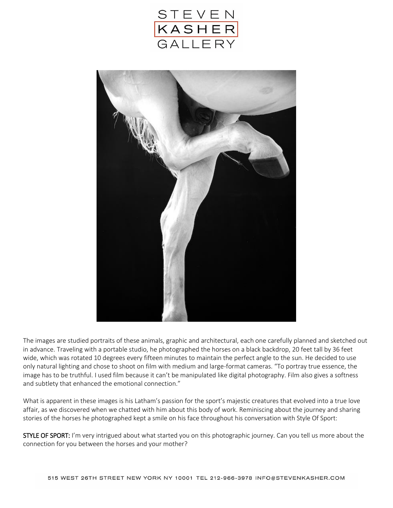



The images are studied portraits of these animals, graphic and architectural, each one carefully planned and sketched out in advance. Traveling with a portable studio, he photographed the horses on a black backdrop, 20 feet tall by 36 feet wide, which was rotated 10 degrees every fifteen minutes to maintain the perfect angle to the sun. He decided to use only natural lighting and chose to shoot on film with medium and large-format cameras. "To portray true essence, the image has to be truthful. I used film because it can't be manipulated like digital photography. Film also gives a softness and subtlety that enhanced the emotional connection."

What is apparent in these images is his Latham's passion for the sport's majestic creatures that evolved into a true love affair, as we discovered when we chatted with him about this body of work. Reminiscing about the journey and sharing stories of the horses he photographed kept a smile on his face throughout his conversation with Style Of Sport:

STYLE OF SPORT: I'm very intrigued about what started you on this photographic journey. Can you tell us more about the connection for you between the horses and your mother?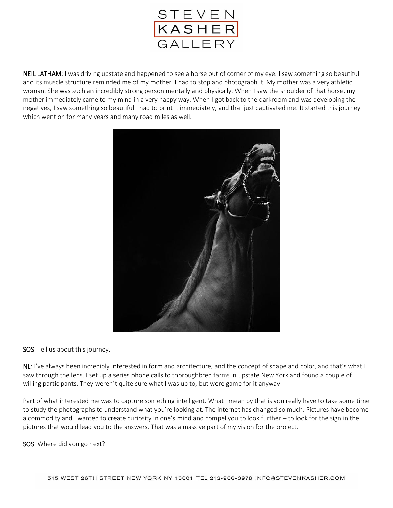

NEIL LATHAM: I was driving upstate and happened to see a horse out of corner of my eye. I saw something so beautiful and its muscle structure reminded me of my mother. I had to stop and photograph it. My mother was a very athletic woman. She was such an incredibly strong person mentally and physically. When I saw the shoulder of that horse, my mother immediately came to my mind in a very happy way. When I got back to the darkroom and was developing the negatives, I saw something so beautiful I had to print it immediately, and that just captivated me. It started this journey which went on for many years and many road miles as well.



SOS: Tell us about this journey.

NL: I've always been incredibly interested in form and architecture, and the concept of shape and color, and that's what I saw through the lens. I set up a series phone calls to thoroughbred farms in upstate New York and found a couple of willing participants. They weren't quite sure what I was up to, but were game for it anyway.

Part of what interested me was to capture something intelligent. What I mean by that is you really have to take some time to study the photographs to understand what you're looking at. The internet has changed so much. Pictures have become a commodity and I wanted to create curiosity in one's mind and compel you to look further – to look for the sign in the pictures that would lead you to the answers. That was a massive part of my vision for the project.

SOS: Where did you go next?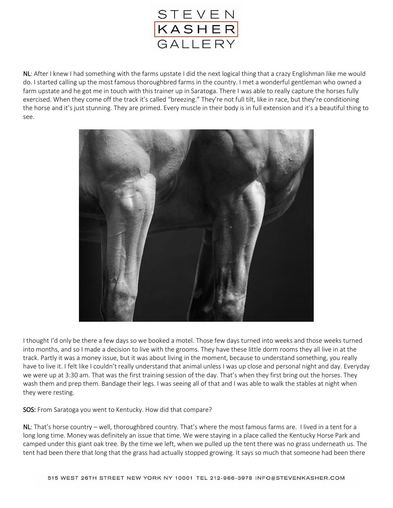

NL: After I knew I had something with the farms upstate I did the next logical thing that a crazy Englishman like me would do. I started calling up the most famous thoroughbred farms in the country. I met a wonderful gentleman who owned a farm upstate and he got me in touch with this trainer up in Saratoga. There I was able to really capture the horses fully exercised. When they come off the track it's called "breezing." They're not full tilt, like in race, but they're conditioning the horse and it's just stunning. They are primed. Every muscle in their body is in full extension and it's a beautiful thing to see.



I thought I'd only be there a few days so we booked a motel. Those few days turned into weeks and those weeks turned into months, and so I made a decision to live with the grooms. They have these little dorm rooms they all live in at the track. Partly it was a money issue, but it was about living in the moment, because to understand something, you really have to live it. I felt like I couldn't really understand that animal unless I was up close and personal night and day. Everyday we were up at 3:30 am. That was the first training session of the day. That's when they first bring out the horses. They wash them and prep them. Bandage their legs. I was seeing all of that and I was able to walk the stables at night when they were resting.

SOS: From Saratoga you went to Kentucky. How did that compare?

NL: That's horse country – well, thoroughbred country. That's where the most famous farms are. I lived in a tent for a long long time. Money was definitely an issue that time. We were staying in a place called the Kentucky Horse Park and camped under this giant oak tree. By the time we left, when we pulled up the tent there was no grass underneath us. The tent had been there that long that the grass had actually stopped growing. It says so much that someone had been there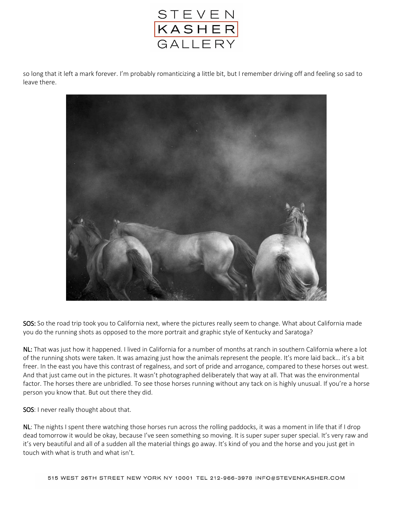

so long that it left a mark forever. I'm probably romanticizing a little bit, but I remember driving off and feeling so sad to leave there.



SOS: So the road trip took you to California next, where the pictures really seem to change. What about California made you do the running shots as opposed to the more portrait and graphic style of Kentucky and Saratoga?

NL: That was just how it happened. I lived in California for a number of months at ranch in southern California where a lot of the running shots were taken. It was amazing just how the animals represent the people. It's more laid back… it's a bit freer. In the east you have this contrast of regalness, and sort of pride and arrogance, compared to these horses out west. And that just came out in the pictures. It wasn't photographed deliberately that way at all. That was the environmental factor. The horses there are unbridled. To see those horses running without any tack on is highly unusual. If you're a horse person you know that. But out there they did.

SOS: I never really thought about that.

NL: The nights I spent there watching those horses run across the rolling paddocks, it was a moment in life that if I drop dead tomorrow it would be okay, because I've seen something so moving. It is super super super special. It's very raw and it's very beautiful and all of a sudden all the material things go away. It's kind of you and the horse and you just get in touch with what is truth and what isn't.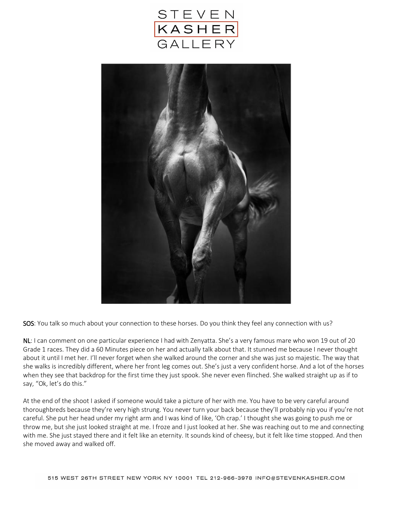



SOS: You talk so much about your connection to these horses. Do you think they feel any connection with us?

NL: I can comment on one particular experience I had with Zenyatta. She's a very famous mare who won 19 out of 20 Grade 1 races. They did a 60 Minutes piece on her and actually talk about that. It stunned me because I never thought about it until I met her. I'll never forget when she walked around the corner and she was just so majestic. The way that she walks is incredibly different, where her front leg comes out. She's just a very confident horse. And a lot of the horses when they see that backdrop for the first time they just spook. She never even flinched. She walked straight up as if to say, "Ok, let's do this."

At the end of the shoot I asked if someone would take a picture of her with me. You have to be very careful around thoroughbreds because they're very high strung. You never turn your back because they'll probably nip you if you're not careful. She put her head under my right arm and I was kind of like, 'Oh crap.' I thought she was going to push me or throw me, but she just looked straight at me. I froze and I just looked at her. She was reaching out to me and connecting with me. She just stayed there and it felt like an eternity. It sounds kind of cheesy, but it felt like time stopped. And then she moved away and walked off.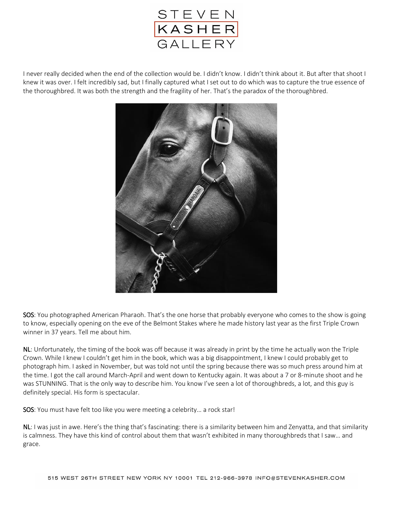

I never really decided when the end of the collection would be. I didn't know. I didn't think about it. But after that shoot I knew it was over. I felt incredibly sad, but I finally captured what I set out to do which was to capture the true essence of the thoroughbred. It was both the strength and the fragility of her. That's the paradox of the thoroughbred.



SOS: You photographed American Pharaoh. That's the one horse that probably everyone who comes to the show is going to know, especially opening on the eve of the Belmont Stakes where he made history last year as the first Triple Crown winner in 37 years. Tell me about him.

NL: Unfortunately, the timing of the book was off because it was already in print by the time he actually won the Triple Crown. While I knew I couldn't get him in the book, which was a big disappointment, I knew I could probably get to photograph him. I asked in November, but was told not until the spring because there was so much press around him at the time. I got the call around March-April and went down to Kentucky again. It was about a 7 or 8-minute shoot and he was STUNNING. That is the only way to describe him. You know I've seen a lot of thoroughbreds, a lot, and this guy is definitely special. His form is spectacular.

SOS: You must have felt too like you were meeting a celebrity… a rock star!

NL: I was just in awe. Here's the thing that's fascinating: there is a similarity between him and Zenyatta, and that similarity is calmness. They have this kind of control about them that wasn't exhibited in many thoroughbreds that I saw… and grace.